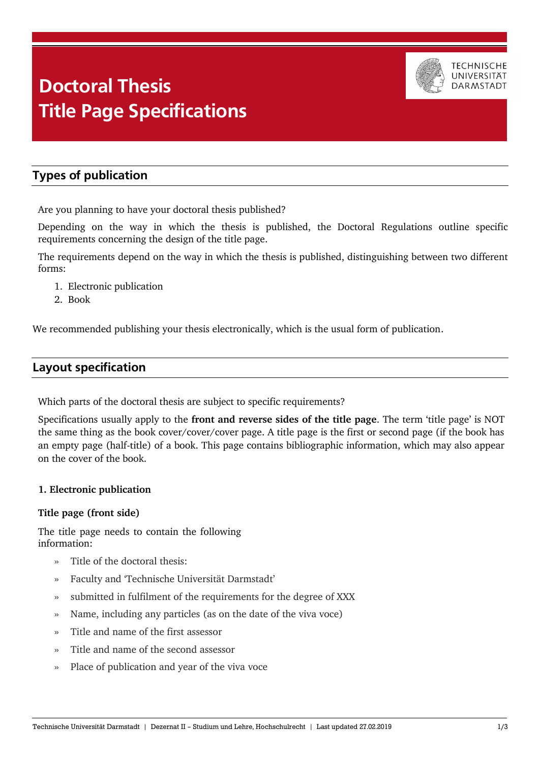# Doctoral Thes Title Dage Specifications **Doctoral Thesis Title Page Specifications**



# **Types of publication**

Are you planning to have your doctoral thesis published?

Depending on the way in which the thesis is published, the Doctoral Regulations outline specific requirements concerning the design of the title page.

The requirements depend on the way in which the thesis is published, distinguishing between two different forms:

- 1. Electronic publication
- 2. Book

We recommended publishing your thesis electronically, which is the usual form of publication.

## **Layout specification**

Which parts of the doctoral thesis are subject to specific requirements?

Specifications usually apply to the **front and reverse sides of the title page**. The term 'title page' is NOT the same thing as the book cover/cover/cover page. A title page is the first or second page (if the book has an empty page (half-title) of a book. This page contains bibliographic information, which may also appear on the cover of the book.

### **1. Electronic publication**

#### **Title page (front side)**

The title page needs to contain the following information:

- Title of the doctoral thesis:
- » Faculty and 'Technische Universität Darmstadt'
- » submitted in fulfilment of the requirements for the degree of XXX
- » Name, including any particles (as on the date of the viva voce)
- » Title and name of the first assessor
- » Title and name of the second assessor
- » Place of publication and year of the viva voce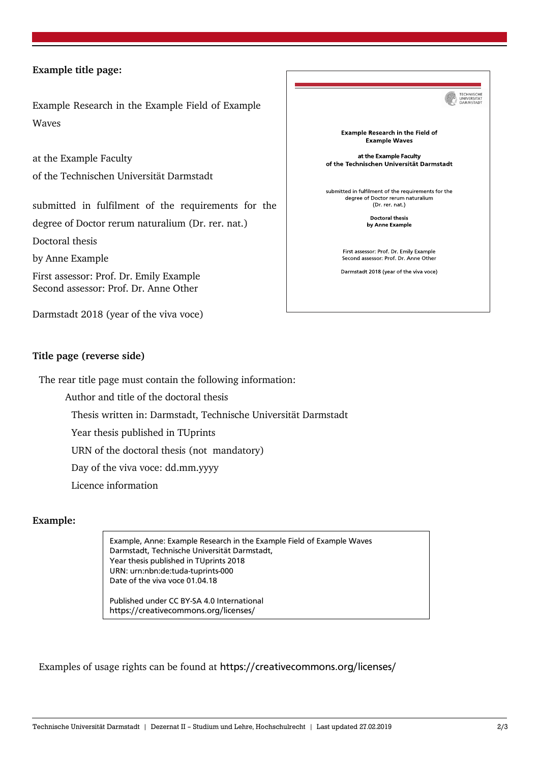#### **Example title page:**

Example Research in the Example Field of Example Waves

at the Example Faculty of the Technischen Universität Darmstadt

submitted in fulfilment of the requirements for the degree of Doctor rerum naturalium (Dr. rer. nat.)

Doctoral thesis

by Anne Example

First assessor: Prof. Dr. Emily Example Second assessor: Prof. Dr. Anne Other

Darmstadt 2018 (year of the viva voce)



#### **Title page (reverse side)**

The rear title page must contain the following information:

Author and title of the doctoral thesis

Thesis written in: Darmstadt, Technische Universität Darmstadt

Year thesis published in TUprints

URN of the doctoral thesis (not mandatory)

Day of the viva voce: dd.mm.yyyy

Licence information

#### **Example:**

Example, Anne: Example Research in the Example Field of Example Waves Darmstadt, Technische Universität Darmstadt, Year thesis published in TUprints 2018 URN: urn:nbn:de:tuda-tuprints-000 Date of the viva voce 01.04.18

Published under CC BY-SA 4.0 International https://creativecommons.org/licenses/

Examples of usage rights can be found at https://creativecommons.org/licenses/